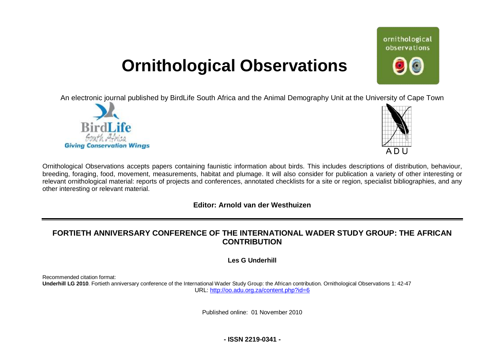# **Ornithological Observations**

An electronic journal published by BirdLife South Africa and the Animal Demography Unit at the University of Cape Town





ornithological observations

Ornithological Observations accepts papers containing faunistic information about birds. This includes descriptions of distribution, behaviour, breeding, foraging, food, movement, measurements, habitat and plumage. It will also consider for publication a variety of other interesting or relevant ornithological material: reports of projects and conferences, annotated checklists for a site or region, specialist bibliographies, and any other interesting or relevant material.

### **Editor: Arnold van der Westhuizen**

# **FORTIETH ANNIVERSARY CONFERENCE OF THE INTERNATIONAL WADER STUDY GROUP: THE AFRICAN CONTRIBUTION**

**Les G Underhill** 

Recommended citation format:

**Underhill LG 2010**. Fortieth anniversary conference of the International Wader Study Group: the African contribution. Ornithological Observations 1: 42-47 URL: <http://oo.adu.org.za/content.php?id=6>

Published online: 01 November 2010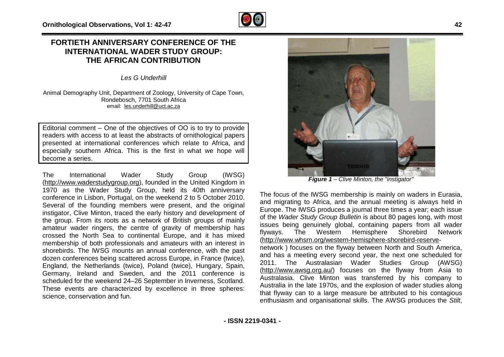## **FORTIETH ANNIVERSARY CONFERENCE OF THE INTERNATIONAL WADER STUDY GROUP: THE AFRICAN CONTRIBUTION**

*Les G Underhill* 

Animal Demography Unit, Department of Zoology, University of Cape Town, Rondebosch, 7701 South Africa email: [les.underhill@uct.ac.za](mailto:les.underhill@uct.ac.za)

Editorial comment – One of the objectives of OO is to try to provide readers with access to at least the abstracts of ornithological papers presented at international conferences which relate to Africa, and especially southern Africa. This is the first in what we hope will become a series.

The International Wader Study Group (IWSG) [\(http://www.waderstudygroup.org](http://www.waderstudygroup.org)), founded in the United Kingdom in 1970 as the Wader Study Group, held its 40th anniversary conference in Lisbon, Portugal, on the weekend 2 to 5 October 2010. Several of the founding members were present, and the original instigator, Clive Minton, traced the early history and development of the group. From its roots as a network of British groups of mainly amateur wader ringers, the centre of gravity of membership has crossed the North Sea to continental Europe, and it has mixed membership of both professionals and amateurs with an interest in shorebirds. The IWSG mounts an annual conference, with the past dozen conferences being scattered across Europe, in France (twice), England, the Netherlands (twice), Poland (twice), Hungary, Spain, Germany, Ireland and Sweden, and the 2011 conference is scheduled for the weekend 24–26 September in Inverness, Scotland. These events are characterized by excellence in three spheres: science, conservation and fun.



*Figure 1 – Clive Minton, the "instigator"* 

The focus of the IWSG membership is mainly on waders in Eurasia, and migrating to Africa, and the annual meeting is always held in Europe. The IWSG produces a journal three times a year; each issue of the *Wader Study Group Bulletin* is about 80 pages long, with most issues being genuinely global, containing papers from all wader flyways. The Western Hemisphere Shorebird Network [\(http://www.whsrn.org/western-hemisphere-shorebird-reserve](http://www.whsrn.org/western-hemisphere-shorebird-reserve)network ) focuses on the flyway between North and South America,

and has a meeting every second year, the next one scheduled for 2011. The Australasian Wader Studies Group (AWSG) [\(http://www.awsg.org.au/\)](http://www.awsg.org.au/) focuses on the flyway from Asia to Australasia. Clive Minton was transferred by his company to Australia in the late 1970s, and the explosion of wader studies along that flyway can to a large measure be attributed to his contagious enthusiasm and organisational skills. The AWSG produces the *Stilt*,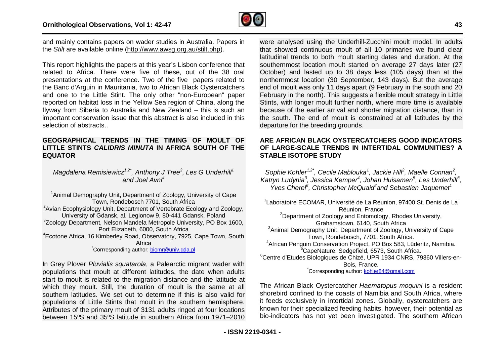

and mainly contains papers on wader studies in Australia. Papers in the *Stilt* are available online [\(http://www.awsg.org.au/stilt.php\)](http://www.awsg.org.au/stilt.php).

This report highlights the papers at this year's Lisbon conference that related to Africa. There were five of these, out of the 38 oral presentations at the conference. Two of the five papers related to the Banc d'Arguin in Mauritania, two to African Black Oystercatchers and one to the Little Stint. The only other "non-European" paper reported on habitat loss in the Yellow Sea region of China, along the flyway from Siberia to Australia and New Zealand – this is such an important conservation issue that this abstract is also included in this selection of abstracts..

#### **GEOGRAPHICAL TRENDS IN THE TIMING OF MOULT OF LITTLE STINTS** *CALIDRIS MINUTA* **IN AFRICA SOUTH OF THE EQUATOR**

*Magdalena Remisiewicz*<sup>1,2\*</sup>, Anthony J Tree<sup>3</sup>, Les G Underhill<sup>1</sup> *and Joel Avni<sup>4</sup>*

<sup>1</sup> Animal Demography Unit, Department of Zoology, University of Cape Town, Rondebosch 7701, South Africa <sup>2</sup>Avian Ecophysiology Unit, Department of Vertebrate Ecology and Zoology, University of Gdansk, al. Legionow 9, 80-441 Gdansk, Poland <sup>3</sup>Zoology Department, Nelson Mandela Metropole University, PO Box 1600, Port Elizabeth, 6000, South Africa <sup>4</sup>Ecotone Africa, 16 Kimberley Road, Observatory, 7925, Cape Town, South Africa \*Corrresponding author: [biomr@univ.gda.pl](mailto:biomr@univ.gda.pl) 

In Grey Plover *Pluvialis squatarola*, a Palearctic migrant wader with populations that moult at different latitudes, the date when adults start to moult is related to the migration distance and the latitude at which they moult. Still, the duration of moult is the same at all southern latitudes. We set out to determine if this is also valid for populations of Little Stints that moult in the southern hemisphere. Attributes of the primary moult of 3131 adults ringed at four locations between 15ºS and 35ºS latitude in southern Africa from 1971–2010 were analysed using the Underhill-Zucchini moult model. In adults that showed continuous moult of all 10 primaries we found clear latitudinal trends to both moult starting dates and duration. At the southernmost location moult started on average 27 days later (27 October) and lasted up to 38 days less (105 days) than at the northernmost location (30 September, 143 days). But the average end of moult was only 11 days apart (9 February in the south and 20 February in the north). This suggests a flexible moult strategy in Little Stints, with longer moult further north, where more time is available because of the earlier arrival and shorter migration distance, than in the south. The end of moult is constrained at all latitudes by the departure for the breeding grounds.

#### **ARE AFRICAN BLACK OYSTERCATCHERS GOOD INDICATORS OF LARGE-SCALE TRENDS IN INTERTIDAL COMMUNITIES? A STABLE ISOTOPE STUDY**

*Sophie Kohler1,2\* , Cecile Mablouka<sup>1</sup> , Jackie Hill<sup>2</sup> , Maelle Connan<sup>2</sup> , Katryn Ludynia<sup>3</sup> , Jessica Kemper<sup>4</sup> , Johan Huisamen<sup>5</sup> , Les Underhill<sup>3</sup> , Yves Cherel<sup>6</sup> , Christopher McQuaid<sup>2</sup> and Sebastien Jaquemet<sup>1</sup>*

<sup>1</sup> Laboratoire ECOMAR, Université de La Réunion, 97400 St. Denis de La Réunion, France <sup>2</sup>Department of Zoology and Entomology, Rhodes University, Grahamstown, 6140, South Africa <sup>3</sup> Animal Demography Unit, Department of Zoology, University of Cape Town, Rondebosch, 7701, South Africa. <sup>4</sup>African Penguin Conservation Project, PO Box 583, Lüderitz, Namibia. <sup>5</sup>CapeNature, Sedgefield, 6573, South Africa. <sup>6</sup>Centre d'Etudes Biologiques de Chizé, UPR 1934 CNRS, 79360 Villers-en-Bois, France.

Corresponding author: kohler84@gmail.com

The African Black Oystercatcher *Haematopus moquini* is a resident shorebird confined to the coasts of Namibia and South Africa, where it feeds exclusively in intertidal zones. Globally, oystercatchers are known for their specialized feeding habits, however, their potential as bio-indicators has not yet been investigated. The southern African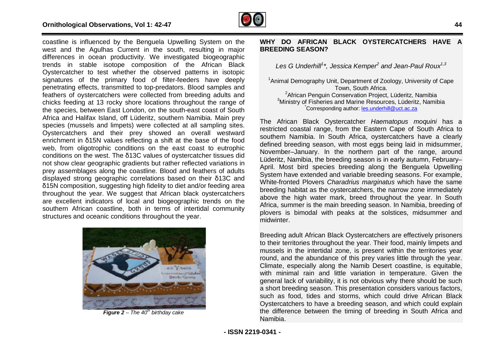

coastline is influenced by the Benguela Upwelling System on the west and the Agulhas Current in the south, resulting in major differences in ocean productivity. We investigated biogeographic trends in stable isotope composition of the African Black Oystercatcher to test whether the observed patterns in isotopic signatures of the primary food of filter-feeders have deeply penetrating effects, transmitted to top-predators. Blood samples and feathers of oystercatchers were collected from breeding adults and chicks feeding at 13 rocky shore locations throughout the range of the species, between East London, on the south-east coast of South Africa and Halifax Island, off Lüderitz, southern Namibia. Main prey species (mussels and limpets) were collected at all sampling sites. Oystercatchers and their prey showed an overall westward enrichment in δ15N values reflecting a shift at the base of the food web, from oligotrophic conditions on the east coast to eutrophic conditions on the west. The δ13C values of oystercatcher tissues did not show clear geographic gradients but rather reflected variations in prey assemblages along the coastline. Blood and feathers of adults displayed strong geographic correlations based on their δ13C and δ15N composition, suggesting high fidelity to diet and/or feeding area throughout the year. We suggest that African black oystercatchers are excellent indicators of local and biogeographic trends on the southern African coastline, both in terms of intertidal community structures and oceanic conditions throughout the year.



*Figure 2 – The 40th birthday cake* 

#### **WHY DO AFRICAN BLACK OYSTERCATCHERS HAVE A BREEDING SEASON?**

*Les G Underhill<sup>1</sup> \*, Jessica Kemper<sup>2</sup> and Jean-Paul Roux1,3*

<sup>1</sup>Animal Demography Unit, Department of Zoology, University of Cape Town, South Africa. <sup>2</sup> African Penguin Conservation Project, Lüderitz, Namibia <sup>3</sup>Ministry of Fisheries and Marine Resources, Lüderitz, Namibia Corresponding author: [les.underhill@uct.ac.za](mailto:les.underhill@uct.ac.za)

The African Black Oystercatcher *Haematopus moquini* has a restricted coastal range, from the Eastern Cape of South Africa to southern Namibia. In South Africa, oystercatchers have a clearly defined breeding season, with most eggs being laid in midsummer, November–January. In the northern part of the range, around Lüderitz, Namibia, the breeding season is in early autumn, February– April. Most bird species breeding along the Benguela Upwelling System have extended and variable breeding seasons. For example, White-fronted Plovers *Charadrius marginatus* which have the same breeding habitat as the oystercatchers, the narrow zone immediately above the high water mark, breed throughout the year. In South Africa, summer is the main breeding season. In Namibia, breeding of plovers is bimodal with peaks at the solstices, midsummer and midwinter.

Breeding adult African Black Oystercatchers are effectively prisoners to their territories throughout the year. Their food, mainly limpets and mussels in the intertidal zone, is present within the territories year round, and the abundance of this prey varies little through the year. Climate, especially along the Namib Desert coastline, is equitable, with minimal rain and little variation in temperature. Given the general lack of variability, it is not obvious why there should be such a short breeding season. This presentation considers various factors, such as food, tides and storms, which could drive African Black Oystercatchers to have a breeding season, and which could explain the difference between the timing of breeding in South Africa and Namibia.

**- ISSN 2219-0341 -**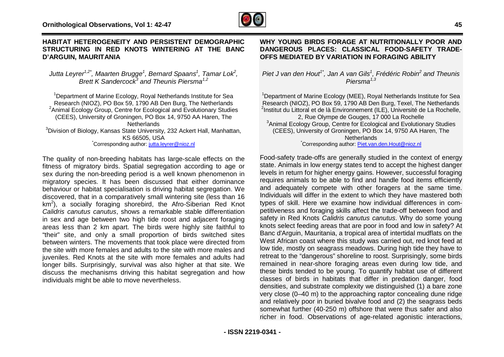

#### **HABITAT HETEROGENEITY AND PERSISTENT DEMOGRAPHIC STRUCTURING IN RED KNOTS WINTERING AT THE BANC D'ARGUIN, MAURITANIA**

*Jutta Leyrer1,2\* , Maarten Brugge<sup>1</sup> , Bernard Spaans<sup>1</sup> , Tamar Lok<sup>2</sup> , Brett K Sandercock<sup>3</sup> and Theunis Piersma1,2*

<sup>1</sup> Department of Marine Ecology, Royal Netherlands Institute for Sea Research (NIOZ), PO Box 59, 1790 AB Den Burg, The Netherlands <sup>2</sup> Animal Ecology Group, Centre for Ecological and Evolutionary Studies (CEES), University of Groningen, PO Box 14, 9750 AA Haren, The **Netherlands** <sup>3</sup>Division of Biology, Kansas State University, 232 Ackert Hall, Manhattan, KS 66505, USA \*Corresponding author: [jutta.leyrer@nioz.nl](mailto:jutta.leyrer@nioz.nl)

The quality of non-breeding habitats has large-scale effects on the fitness of migratory birds. Spatial segregation according to age or sex during the non-breeding period is a well known phenomenon in migratory species. It has been discussed that either dominance behaviour or habitat specialisation is driving habitat segregation. We discovered, that in a comparatively small wintering site (less than 16  $km<sup>2</sup>$ ), a socially foraging shorebird, the Afro-Siberian Red Knot *Calidris canutus canutus*, shows a remarkable stable differentiation in sex and age between two high tide roost and adjacent foraging areas less than 2 km apart. The birds were highly site faithful to "their" site, and only a small proportion of birds switched sites between winters. The movements that took place were directed from the site with more females and adults to the site with more males and juveniles. Red Knots at the site with more females and adults had longer bills. Surprisingly, survival was also higher at that site. We discuss the mechanisms driving this habitat segregation and how individuals might be able to move nevertheless.

#### **WHY YOUNG BIRDS FORAGE AT NUTRITIONALLY POOR AND DANGEROUS PLACES: CLASSICAL FOOD-SAFETY TRADE-OFFS MEDIATED BY VARIATION IN FORAGING ABILITY**

*Piet J van den Hout1\* , Jan A van Gils<sup>1</sup> , Frédéric Robin<sup>2</sup> and Theunis Piersma1,3* 

<sup>1</sup>Department of Marine Ecology (MEE), Royal Netherlands Institute for Sea Research (NIOZ), PO Box 59, 1790 AB Den Burg, Texel, The Netherlands <sup>2</sup>Institut du Littoral et de là Environnement (ILE), Université de La Rochelle, 2, Rue Olympe de Gouges, 17 000 La Rochelle <sup>3</sup>Animal Ecology Group, Centre for Ecological and Evolutionary Studies (CEES), University of Groningen, PO Box 14, 9750 AA Haren, The **Netherlands** 

\*Corresponding author: [Piet.van.den.Hout@nioz.nl](mailto:Piet.van.den.Hout@nioz.nl) 

Food-safety trade-offs are generally studied in the context of energy state. Animals in low energy states tend to accept the highest danger levels in return for higher energy gains. However, successful foraging requires animals to be able to find and handle food items efficiently and adequately compete with other foragers at the same time. Individuals will differ in the extent to which they have mastered both types of skill. Here we examine how individual differences in competitiveness and foraging skills affect the trade-off between food and safety in Red Knots *Calidris canutus canutus*. Why do some young knots select feeding areas that are poor in food and low in safety? At Banc d'Arguin, Mauritania, a tropical area of intertidal mudflats on the West African coast where this study was carried out, red knot feed at low tide, mostly on seagrass meadows. During high tide they have to retreat to the "dangerous" shoreline to roost. Surprisingly, some birds remained in near-shore foraging areas even during low tide, and these birds tended to be young. To quantify habitat use of different classes of birds in habitats that differ in predation danger, food densities, and substrate complexity we distinguished (1) a bare zone very close (0–40 m) to the approaching raptor concealing dune ridge and relatively poor in buried bivalve food and (2) the seagrass beds somewhat further (40-250 m) offshore that were thus safer and also richer in food. Observations of age-related agonistic interactions,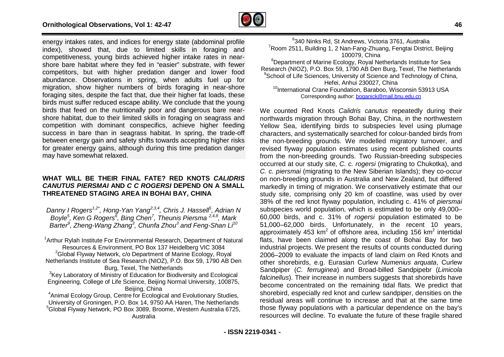

energy intakes rates, and indices for energy state (abdominal profile index), showed that, due to limited skills in foraging and competitiveness, young birds achieved higher intake rates in nearshore bare habitat where they fed in "easier" substrate, with fewer competitors, but with higher predation danger and lower food abundance. Observations in spring, when adults fuel up for migration, show higher numbers of birds foraging in near-shore foraging sites, despite the fact that, due their higher fat loads, these birds must suffer reduced escape ability. We conclude that the young birds that feed on the nutritionally poor and dangerous bare nearshore habitat, due to their limited skills in foraging on seagrass and competition with dominant conspecifics, achieve higher feeding success in bare than in seagrass habitat. In spring, the trade-off between energy gain and safety shifts towards accepting higher risks for greater energy gains, although during this time predation danger may have somewhat relaxed.

#### **WHAT WILL BE THEIR FINAL FATE? RED KNOTS** *CALIDRIS CANUTUS PIERSMAI* **AND** *C C ROGERSI* **DEPEND ON A SMALL THREATENED STAGING AREA IN BOHAI BAY, CHINA**

*Danny I Rogers1,2\* , Hong-Yan Yang2,3,4 , Chris J. Hassell<sup>5</sup> , Adrian N Boyle<sup>5</sup> , Ken G Rogers<sup>6</sup> , Bing Chen<sup>7</sup> , Theunis Piersma 2,4,8 , Mark Barter<sup>9</sup> , Zheng-Wang Zhang<sup>3</sup> , Chunfa Zhou<sup>3</sup> and Feng-Shan Li<sup>10</sup>*

<sup>1</sup>Arthur Rylah Institute For Environmental Research, Department of Natural Resources & Environment, PO Box 137 Heidelberg VIC 3084 <sup>2</sup>Global Flyway Network, c/o Department of Marine Ecology, Royal Netherlands Institute of Sea Research (NIOZ), P.O. Box 59, 1790 AB Den Burg, Texel, The Netherlands <sup>3</sup>Key Laboratory of Ministry of Education for Biodiversity and Ecological Engineering, College of Life Science, Beijing Normal University, 100875, Beijing, China <sup>4</sup>Animal Ecology Group, Centre for Ecological and Evolutionary Studies, University of Groningen, P.O. Box 14, 9750 AA Haren, The Netherlands <sup>5</sup>Global Flyway Network, PO Box 3089, Broome, Western Australia 6725, Australia

6 340 Ninks Rd, St Andrews, Victoria 3761, Australia <sup>7</sup>Room 2511, Building 1, 2 Nan-Fang-Zhuang, Fengtai District, Beijing 100079, China <sup>8</sup>Department of Marine Ecology, Royal Netherlands Institute for Sea Research (NIOZ), P.O. Box 59, 1790 AB Den Burg, Texel, The Netherlands <sup>9</sup>School of Life Sciences, University of Science and Technology of China, Hefei, Anhui 230027, China <sup>10</sup>International Crane Foundation, Baraboo, Wisconsin 53913 USA Corresponding author: [boganick@mail.bnu.edu.cn](mailto:boganick@mail.bnu.edu.cn) 

We counted Red Knots *Calidris canutus* repeatedly during their northwards migration through Bohai Bay, China, in the northwestern Yellow Sea, identifying birds to subspecies level using plumage characters, and systematically searched for colour-banded birds from the non-breeding grounds. We modelled migratory turnover, and revised flyway population estimates using recent published counts from the non-breeding grounds. Two Russian-breeding subspecies occurred at our study site, *C. c. rogersi* (migrating to Chukotka), and *C. c. piersmai* (migrating to the New Siberian Islands); they co-occur on non-breeding grounds in Australia and New Zealand, but differed markedly in timing of migration. We conservatively estimate that our study site, comprising only 20 km of coastline, was used by over 38% of the red knot flyway population, including c. 41% of *piersmai* subspecies world population, which is estimated to be only 49,000– 60,000 birds, and c. 31% of *rogersi* population estimated to be 51,000–62,000 birds. Unfortunately, in the recent 10 years, approximately 453 km<sup>2</sup> of offshore area, including 156 km<sup>2</sup> intertidal flats, have been claimed along the coast of Bohai Bay for two industrial projects. We present the results of counts conducted during 2006–2009 to evaluate the impacts of land claim on Red Knots and other shorebirds, e.g. Eurasian Curlew *Numenius arquata*, Curlew Sandpiper (*C. ferruginea*) and Broad-billed Sandpipebr (*Limicola falcinellus*). Their increase in numbers suggests that shorebirds have become concentrated on the remaining tidal flats. We predict that shorebird, especially red knot and curlew sandpiper, densities on the residual areas will continue to increase and that at the same time those flyway populations with a particular dependence on the bay's resources will decline. To evaluate the future of these fragile shared